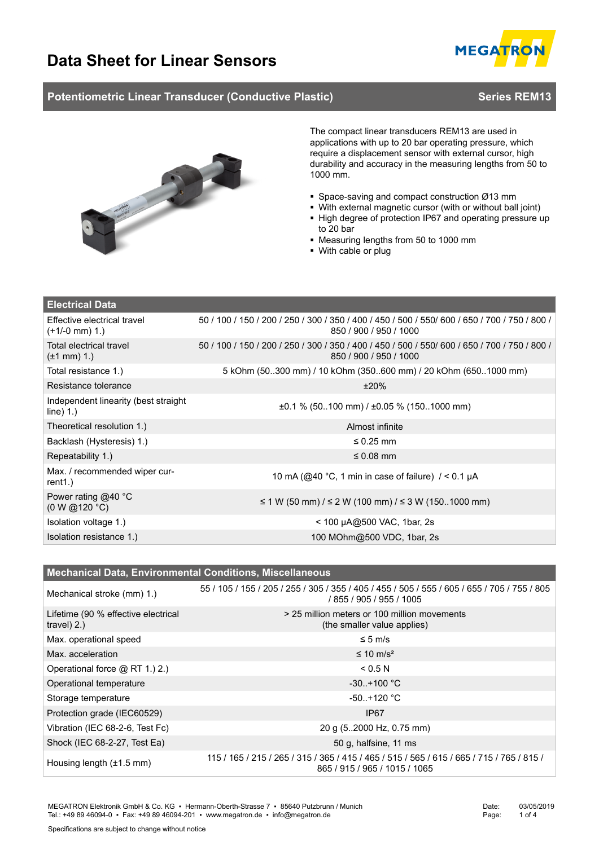

### **Potentiometric Linear Transducer (Conductive Plastic) <b>Series REM13** Series REM13



The compact linear transducers REM13 are used in applications with up to 20 bar operating pressure, which require a displacement sensor with external cursor, high durability and accuracy in the measuring lengths from 50 to 1000 mm.

- Space-saving and compact construction Ø13 mm
- With external magnetic cursor (with or without ball joint)
- High degree of protection IP67 and operating pressure up to 20 bar
- Measuring lengths from 50 to 1000 mm
- With cable or plug

| <b>Electrical Data</b>                              |                                                                                                                          |  |  |  |  |
|-----------------------------------------------------|--------------------------------------------------------------------------------------------------------------------------|--|--|--|--|
| Effective electrical travel<br>$(+1/-0$ mm $)$ 1.   | 50 / 100 / 150 / 200 / 250 / 300 / 350 / 400 / 450 / 500 / 550 /600 / 650 / 700 / 750 / 800 /<br>850 / 900 / 950 / 1000  |  |  |  |  |
| Total electrical travel<br>$(\pm 1 \text{ mm})$ 1.) | 50 / 100 / 150 / 200 / 250 / 300 / 350 / 400 / 450 / 500 / 550 / 600 / 650 / 700 / 750 / 800 /<br>850 / 900 / 950 / 1000 |  |  |  |  |
| Total resistance 1.)                                | 5 kOhm (50300 mm) / 10 kOhm (350600 mm) / 20 kOhm (6501000 mm)                                                           |  |  |  |  |
| Resistance tolerance                                | ±20%                                                                                                                     |  |  |  |  |
| Independent linearity (best straight<br>line) 1.    | $\pm 0.1$ % (50100 mm) / $\pm 0.05$ % (1501000 mm)                                                                       |  |  |  |  |
| Theoretical resolution 1.)                          | Almost infinite                                                                                                          |  |  |  |  |
| Backlash (Hysteresis) 1.)                           | $\leq$ 0.25 mm                                                                                                           |  |  |  |  |
| Repeatability 1.)                                   | $\leq 0.08$ mm                                                                                                           |  |  |  |  |
| Max. / recommended wiper cur-<br>rent1.)            | 10 mA (@40 °C, 1 min in case of failure) $/ < 0.1 \mu A$                                                                 |  |  |  |  |
| Power rating $@40$ °C<br>(0 W @ 120 °C)             | ≤ 1 W (50 mm) / ≤ 2 W (100 mm) / ≤ 3 W (1501000 mm)                                                                      |  |  |  |  |
| Isolation voltage 1.)                               | < 100 µA@500 VAC, 1bar, 2s                                                                                               |  |  |  |  |
| Isolation resistance 1.)                            | 100 MOhm@500 VDC, 1bar, 2s                                                                                               |  |  |  |  |

| <b>Mechanical Data, Environmental Conditions, Miscellaneous</b> |                                                                                                                            |  |  |  |  |
|-----------------------------------------------------------------|----------------------------------------------------------------------------------------------------------------------------|--|--|--|--|
| Mechanical stroke (mm) 1.)                                      | 55 / 105 / 155 / 205 / 255 / 305 / 355 / 405 / 455 / 505 / 555 / 605 / 655 / 705 / 755 / 805<br>/ 855 / 905 / 955 / 1005   |  |  |  |  |
| Lifetime (90 % effective electrical<br>$travel)$ 2.)            | > 25 million meters or 100 million movements<br>(the smaller value applies)                                                |  |  |  |  |
| Max. operational speed                                          | $\leq 5$ m/s                                                                                                               |  |  |  |  |
| Max. acceleration                                               | $\leq 10$ m/s <sup>2</sup>                                                                                                 |  |  |  |  |
| Operational force @ RT 1.) 2.)                                  | < 0.5 N                                                                                                                    |  |  |  |  |
| Operational temperature                                         | $-30. + 100 °C$                                                                                                            |  |  |  |  |
| Storage temperature                                             | $-50. + 120 °C$                                                                                                            |  |  |  |  |
| Protection grade (IEC60529)                                     | IP <sub>67</sub>                                                                                                           |  |  |  |  |
| Vibration (IEC 68-2-6, Test Fc)                                 | 20 g (52000 Hz, 0.75 mm)                                                                                                   |  |  |  |  |
| Shock (IEC 68-2-27, Test Ea)                                    | 50 g, halfsine, 11 ms                                                                                                      |  |  |  |  |
| Housing length $(\pm 1.5 \text{ mm})$                           | 115 / 165 / 215 / 265 / 315 / 365 / 415 / 465 / 515 / 565 / 615 / 665 / 715 / 765 / 815 /<br>865 / 915 / 965 / 1015 / 1065 |  |  |  |  |

MEGATRON Elektronik GmbH & Co. KG ▪ Hermann-Oberth-Strasse 7 ▪ 85640 Putzbrunn / Munich Tel.: +49 89 46094-0 · Fax: +49 89 46094-201 · www.megatron.de · info@megatron.de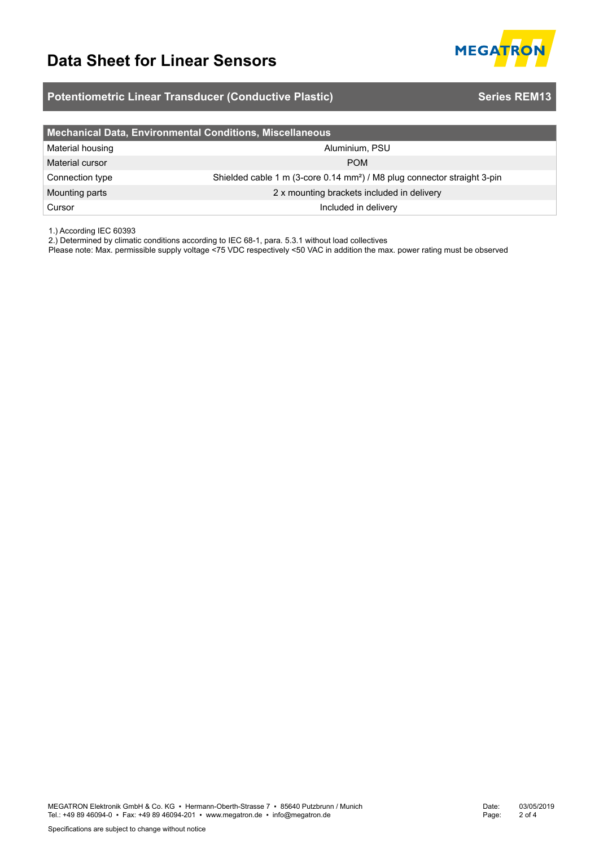

## **Potentiometric Linear Transducer (Conductive Plastic) <b>Series REM13** Series REM13

| Mechanical Data, Environmental Conditions, Miscellaneous |                                                                                      |  |  |  |  |
|----------------------------------------------------------|--------------------------------------------------------------------------------------|--|--|--|--|
| Material housing                                         | Aluminium, PSU                                                                       |  |  |  |  |
| Material cursor                                          | <b>POM</b>                                                                           |  |  |  |  |
| Connection type                                          | Shielded cable 1 m (3-core 0.14 mm <sup>2</sup> ) / M8 plug connector straight 3-pin |  |  |  |  |
| Mounting parts                                           | 2 x mounting brackets included in delivery                                           |  |  |  |  |
| Cursor                                                   | Included in delivery                                                                 |  |  |  |  |

1.) According IEC 60393

2.) Determined by climatic conditions according to IEC 68-1, para. 5.3.1 without load collectives

Please note: Max. permissible supply voltage <75 VDC respectively <50 VAC in addition the max. power rating must be observed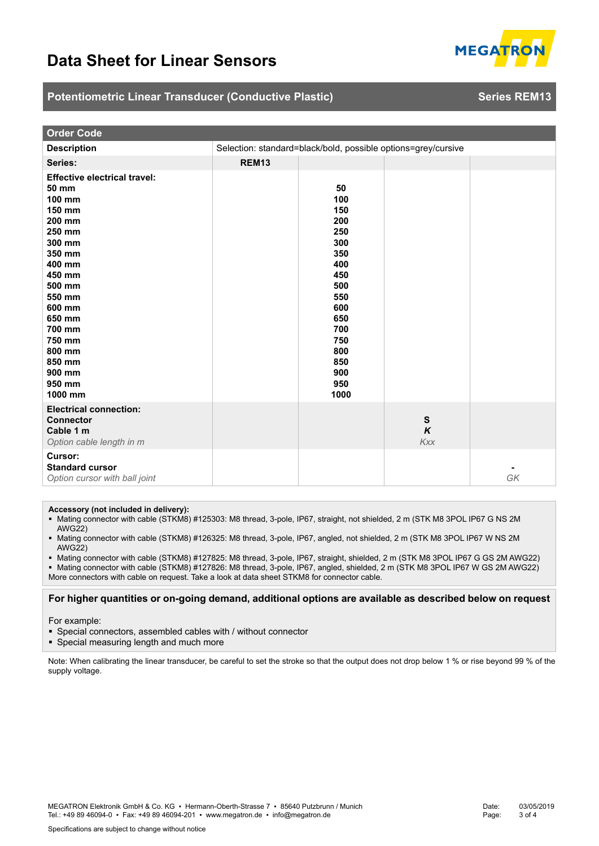

### **Potentiometric Linear Transducer (Conductive Plastic) <b>Series REM13** Series REM13

| <b>Order Code</b>                                                                                                                                                                                                                           |                                                               |                                                                                                                                          |                              |    |  |  |  |
|---------------------------------------------------------------------------------------------------------------------------------------------------------------------------------------------------------------------------------------------|---------------------------------------------------------------|------------------------------------------------------------------------------------------------------------------------------------------|------------------------------|----|--|--|--|
| <b>Description</b>                                                                                                                                                                                                                          | Selection: standard=black/bold, possible options=grey/cursive |                                                                                                                                          |                              |    |  |  |  |
| Series:                                                                                                                                                                                                                                     | <b>REM13</b>                                                  |                                                                                                                                          |                              |    |  |  |  |
| <b>Effective electrical travel:</b><br>50 mm<br>100 mm<br>150 mm<br>200 mm<br>250 mm<br>300 mm<br>350 mm<br>400 mm<br>450 mm<br>500 mm<br>550 mm<br>600 mm<br>650 mm<br>700 mm<br>750 mm<br>800 mm<br>850 mm<br>900 mm<br>950 mm<br>1000 mm |                                                               | 50<br>100<br>150<br>200<br>250<br>300<br>350<br>400<br>450<br>500<br>550<br>600<br>650<br>700<br>750<br>800<br>850<br>900<br>950<br>1000 |                              |    |  |  |  |
| <b>Electrical connection:</b><br><b>Connector</b><br>Cable 1 m<br>Option cable length in m                                                                                                                                                  |                                                               |                                                                                                                                          | ${\sf s}$<br>$\kappa$<br>Kxx |    |  |  |  |
| <b>Cursor:</b><br><b>Standard cursor</b><br>Option cursor with ball joint                                                                                                                                                                   |                                                               |                                                                                                                                          |                              | GK |  |  |  |

**Accessory (not included in delivery):**

- Mating connector with cable (STKM8) #125303: M8 thread, 3-pole, IP67, straight, not shielded, 2 m (STK M8 3POL IP67 G NS 2M AWG22)
- Mating connector with cable (STKM8) #126325: M8 thread, 3-pole, IP67, angled, not shielded, 2 m (STK M8 3POL IP67 W NS 2M AWG22)

 Mating connector with cable (STKM8) #127825: M8 thread, 3-pole, IP67, straight, shielded, 2 m (STK M8 3POL IP67 G GS 2M AWG22) Mating connector with cable (STKM8) #127826: M8 thread, 3-pole, IP67, angled, shielded, 2 m (STK M8 3POL IP67 W GS 2M AWG22) More connectors with cable on request. Take a look at data sheet STKM8 for connector cable.

### **For higher quantities or on-going demand, additional options are available as described below on request**

For example:

- Special connectors, assembled cables with / without connector
- Special measuring length and much more

Note: When calibrating the linear transducer, be careful to set the stroke so that the output does not drop below 1 % or rise beyond 99 % of the supply voltage.